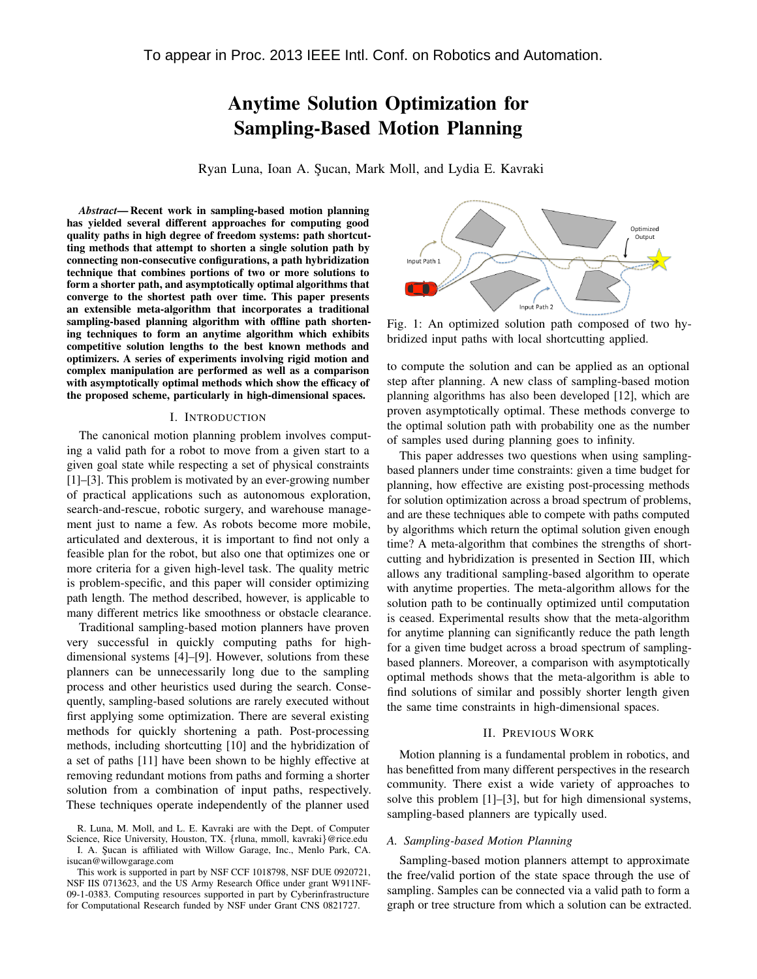# Anytime Solution Optimization for Sampling-Based Motion Planning

Ryan Luna, Ioan A. Şucan, Mark Moll, and Lydia E. Kavraki

*Abstract*— Recent work in sampling-based motion planning has yielded several different approaches for computing good quality paths in high degree of freedom systems: path shortcutting methods that attempt to shorten a single solution path by connecting non-consecutive configurations, a path hybridization technique that combines portions of two or more solutions to form a shorter path, and asymptotically optimal algorithms that converge to the shortest path over time. This paper presents an extensible meta-algorithm that incorporates a traditional sampling-based planning algorithm with offline path shortening techniques to form an anytime algorithm which exhibits competitive solution lengths to the best known methods and optimizers. A series of experiments involving rigid motion and complex manipulation are performed as well as a comparison with asymptotically optimal methods which show the efficacy of the proposed scheme, particularly in high-dimensional spaces.

#### I. INTRODUCTION

The canonical motion planning problem involves computing a valid path for a robot to move from a given start to a given goal state while respecting a set of physical constraints [1]–[3]. This problem is motivated by an ever-growing number of practical applications such as autonomous exploration, search-and-rescue, robotic surgery, and warehouse management just to name a few. As robots become more mobile, articulated and dexterous, it is important to find not only a feasible plan for the robot, but also one that optimizes one or more criteria for a given high-level task. The quality metric is problem-specific, and this paper will consider optimizing path length. The method described, however, is applicable to many different metrics like smoothness or obstacle clearance.

Traditional sampling-based motion planners have proven very successful in quickly computing paths for highdimensional systems [4]–[9]. However, solutions from these planners can be unnecessarily long due to the sampling process and other heuristics used during the search. Consequently, sampling-based solutions are rarely executed without first applying some optimization. There are several existing methods for quickly shortening a path. Post-processing methods, including shortcutting [10] and the hybridization of a set of paths [11] have been shown to be highly effective at removing redundant motions from paths and forming a shorter solution from a combination of input paths, respectively. These techniques operate independently of the planner used

This work is supported in part by NSF CCF 1018798, NSF DUE 0920721, NSF IIS 0713623, and the US Army Research Office under grant W911NF-09-1-0383. Computing resources supported in part by Cyberinfrastructure for Computational Research funded by NSF under Grant CNS 0821727.



Fig. 1: An optimized solution path composed of two hybridized input paths with local shortcutting applied.

to compute the solution and can be applied as an optional step after planning. A new class of sampling-based motion planning algorithms has also been developed [12], which are proven asymptotically optimal. These methods converge to the optimal solution path with probability one as the number of samples used during planning goes to infinity.

This paper addresses two questions when using samplingbased planners under time constraints: given a time budget for planning, how effective are existing post-processing methods for solution optimization across a broad spectrum of problems, and are these techniques able to compete with paths computed by algorithms which return the optimal solution given enough time? A meta-algorithm that combines the strengths of shortcutting and hybridization is presented in Section III, which allows any traditional sampling-based algorithm to operate with anytime properties. The meta-algorithm allows for the solution path to be continually optimized until computation is ceased. Experimental results show that the meta-algorithm for anytime planning can significantly reduce the path length for a given time budget across a broad spectrum of samplingbased planners. Moreover, a comparison with asymptotically optimal methods shows that the meta-algorithm is able to find solutions of similar and possibly shorter length given the same time constraints in high-dimensional spaces.

### II. PREVIOUS WORK

Motion planning is a fundamental problem in robotics, and has benefitted from many different perspectives in the research community. There exist a wide variety of approaches to solve this problem [1]–[3], but for high dimensional systems, sampling-based planners are typically used.

#### *A. Sampling-based Motion Planning*

Sampling-based motion planners attempt to approximate the free/valid portion of the state space through the use of sampling. Samples can be connected via a valid path to form a graph or tree structure from which a solution can be extracted.

R. Luna, M. Moll, and L. E. Kavraki are with the Dept. of Computer Science, Rice University, Houston, TX. {rluna, mmoll, kavraki}@rice.edu I. A. Şucan is affiliated with Willow Garage, Inc., Menlo Park, CA. isucan@willowgarage.com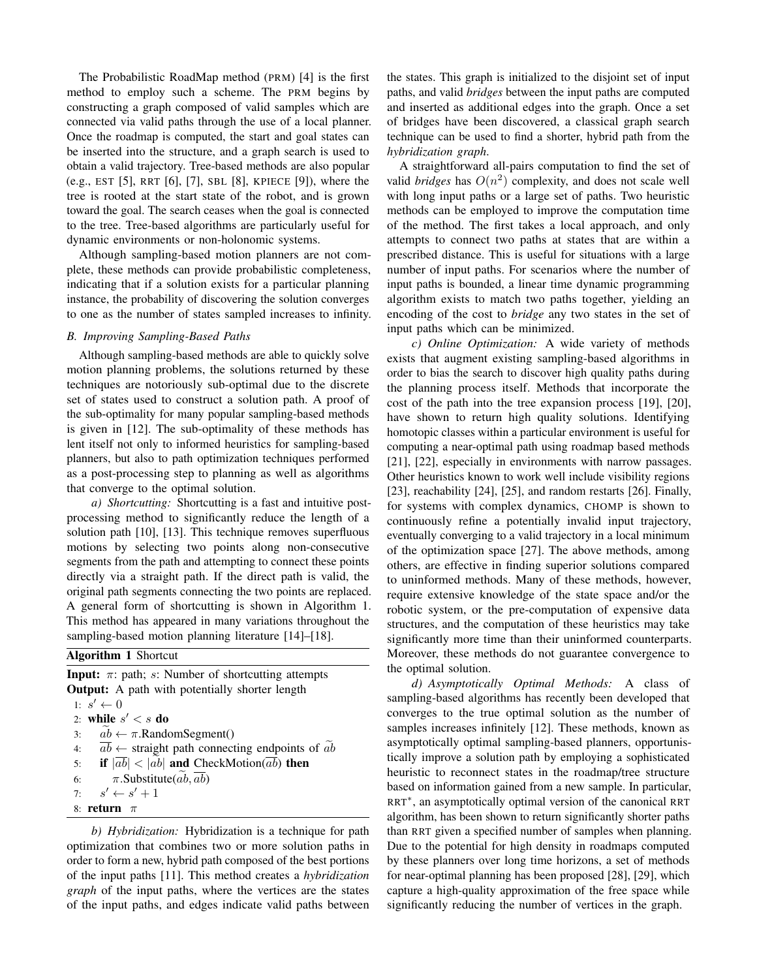The Probabilistic RoadMap method (PRM) [4] is the first method to employ such a scheme. The PRM begins by constructing a graph composed of valid samples which are connected via valid paths through the use of a local planner. Once the roadmap is computed, the start and goal states can be inserted into the structure, and a graph search is used to obtain a valid trajectory. Tree-based methods are also popular (e.g., EST [5], RRT [6], [7], SBL [8], KPIECE [9]), where the tree is rooted at the start state of the robot, and is grown toward the goal. The search ceases when the goal is connected to the tree. Tree-based algorithms are particularly useful for dynamic environments or non-holonomic systems.

Although sampling-based motion planners are not complete, these methods can provide probabilistic completeness, indicating that if a solution exists for a particular planning instance, the probability of discovering the solution converges to one as the number of states sampled increases to infinity.

# *B. Improving Sampling-Based Paths*

Although sampling-based methods are able to quickly solve motion planning problems, the solutions returned by these techniques are notoriously sub-optimal due to the discrete set of states used to construct a solution path. A proof of the sub-optimality for many popular sampling-based methods is given in [12]. The sub-optimality of these methods has lent itself not only to informed heuristics for sampling-based planners, but also to path optimization techniques performed as a post-processing step to planning as well as algorithms that converge to the optimal solution.

*a) Shortcutting:* Shortcutting is a fast and intuitive postprocessing method to significantly reduce the length of a solution path [10], [13]. This technique removes superfluous motions by selecting two points along non-consecutive segments from the path and attempting to connect these points directly via a straight path. If the direct path is valid, the original path segments connecting the two points are replaced. A general form of shortcutting is shown in Algorithm 1. This method has appeared in many variations throughout the sampling-based motion planning literature [14]–[18].

Algorithm 1 Shortcut

**Input:**  $\pi$ : path; *s*: Number of shortcutting attempts Output: A path with potentially shorter length 1:  $s' \leftarrow 0$ 2: while  $s' < s$  do 3:  $ab \leftarrow \pi$ .RandomSegment()<br>4:  $\overline{ab} \leftarrow$  straight path connect 4:  $\overline{ab} \leftarrow$  straight path connecting endpoints of ab<br>5: **if**  $|\overline{ab}| < |\overline{ab}|$  and CheckMotion( $\overline{ab}$ ) then 5: if  $|ab| < |ab|$  and CheckMotion(*ab*) then<br>6:  $\pi$ .Substitute(*ab*,  $\overline{ab}$ )  $\pi$ . Substitute $(ab, \overline{ab})$  $7:$  $\prime \leftarrow s' + 1$ 8: return  $\pi$ 

*b) Hybridization:* Hybridization is a technique for path optimization that combines two or more solution paths in order to form a new, hybrid path composed of the best portions of the input paths [11]. This method creates a *hybridization graph* of the input paths, where the vertices are the states of the input paths, and edges indicate valid paths between the states. This graph is initialized to the disjoint set of input paths, and valid *bridges* between the input paths are computed and inserted as additional edges into the graph. Once a set of bridges have been discovered, a classical graph search technique can be used to find a shorter, hybrid path from the *hybridization graph*.

A straightforward all-pairs computation to find the set of valid *bridges* has  $O(n^2)$  complexity, and does not scale well with long input paths or a large set of paths. Two heuristic methods can be employed to improve the computation time of the method. The first takes a local approach, and only attempts to connect two paths at states that are within a prescribed distance. This is useful for situations with a large number of input paths. For scenarios where the number of input paths is bounded, a linear time dynamic programming algorithm exists to match two paths together, yielding an encoding of the cost to *bridge* any two states in the set of input paths which can be minimized.

*c) Online Optimization:* A wide variety of methods exists that augment existing sampling-based algorithms in order to bias the search to discover high quality paths during the planning process itself. Methods that incorporate the cost of the path into the tree expansion process [19], [20], have shown to return high quality solutions. Identifying homotopic classes within a particular environment is useful for computing a near-optimal path using roadmap based methods [21], [22], especially in environments with narrow passages. Other heuristics known to work well include visibility regions [23], reachability [24], [25], and random restarts [26]. Finally, for systems with complex dynamics, CHOMP is shown to continuously refine a potentially invalid input trajectory, eventually converging to a valid trajectory in a local minimum of the optimization space [27]. The above methods, among others, are effective in finding superior solutions compared to uninformed methods. Many of these methods, however, require extensive knowledge of the state space and/or the robotic system, or the pre-computation of expensive data structures, and the computation of these heuristics may take significantly more time than their uninformed counterparts. Moreover, these methods do not guarantee convergence to the optimal solution.

*d) Asymptotically Optimal Methods:* A class of sampling-based algorithms has recently been developed that converges to the true optimal solution as the number of samples increases infinitely [12]. These methods, known as asymptotically optimal sampling-based planners, opportunistically improve a solution path by employing a sophisticated heuristic to reconnect states in the roadmap/tree structure based on information gained from a new sample. In particular, RRT<sup>∗</sup> , an asymptotically optimal version of the canonical RRT algorithm, has been shown to return significantly shorter paths than RRT given a specified number of samples when planning. Due to the potential for high density in roadmaps computed by these planners over long time horizons, a set of methods for near-optimal planning has been proposed [28], [29], which capture a high-quality approximation of the free space while significantly reducing the number of vertices in the graph.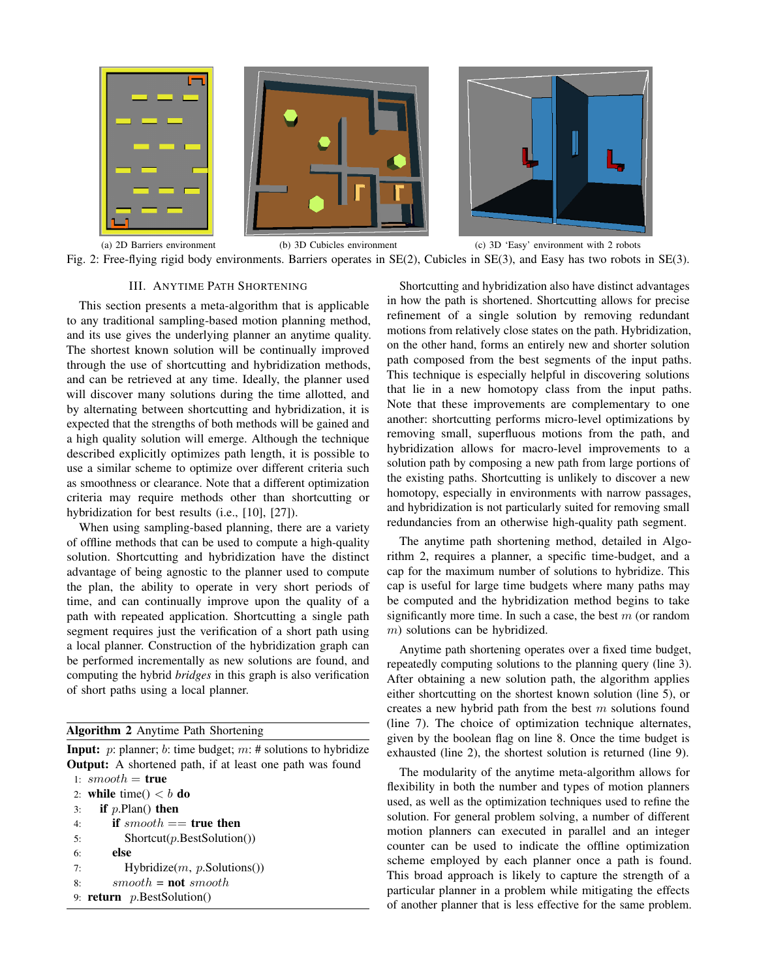



(a) 2D Barriers environment (b) 3D Cubicles environment (c) 3D 'Easy' environment with 2 robots Fig. 2: Free-flying rigid body environments. Barriers operates in SE(2), Cubicles in SE(3), and Easy has two robots in SE(3).

# III. ANYTIME PATH SHORTENING

This section presents a meta-algorithm that is applicable to any traditional sampling-based motion planning method, and its use gives the underlying planner an anytime quality. The shortest known solution will be continually improved through the use of shortcutting and hybridization methods, and can be retrieved at any time. Ideally, the planner used will discover many solutions during the time allotted, and by alternating between shortcutting and hybridization, it is expected that the strengths of both methods will be gained and a high quality solution will emerge. Although the technique described explicitly optimizes path length, it is possible to use a similar scheme to optimize over different criteria such as smoothness or clearance. Note that a different optimization criteria may require methods other than shortcutting or hybridization for best results (i.e., [10], [27]).

When using sampling-based planning, there are a variety of offline methods that can be used to compute a high-quality solution. Shortcutting and hybridization have the distinct advantage of being agnostic to the planner used to compute the plan, the ability to operate in very short periods of time, and can continually improve upon the quality of a path with repeated application. Shortcutting a single path segment requires just the verification of a short path using a local planner. Construction of the hybridization graph can be performed incrementally as new solutions are found, and computing the hybrid *bridges* in this graph is also verification of short paths using a local planner.

### Algorithm 2 Anytime Path Shortening

**Input:**  $p$ : planner;  $b$ : time budget;  $m$ : # solutions to hybridize Output: A shortened path, if at least one path was found 1:  $smooth = true$ 

```
2: while time() 
3: if p.Plan() then
4: if smooth == true then
5: Shortcut(p.BestSolution())
6: else
7: Hybridize(m, p. Solutions()8: smooth = not smooth9: return p.BestSolution()
```
Shortcutting and hybridization also have distinct advantages in how the path is shortened. Shortcutting allows for precise refinement of a single solution by removing redundant motions from relatively close states on the path. Hybridization, on the other hand, forms an entirely new and shorter solution path composed from the best segments of the input paths. This technique is especially helpful in discovering solutions that lie in a new homotopy class from the input paths. Note that these improvements are complementary to one another: shortcutting performs micro-level optimizations by removing small, superfluous motions from the path, and hybridization allows for macro-level improvements to a solution path by composing a new path from large portions of the existing paths. Shortcutting is unlikely to discover a new homotopy, especially in environments with narrow passages, and hybridization is not particularly suited for removing small redundancies from an otherwise high-quality path segment.

The anytime path shortening method, detailed in Algorithm 2, requires a planner, a specific time-budget, and a cap for the maximum number of solutions to hybridize. This cap is useful for large time budgets where many paths may be computed and the hybridization method begins to take significantly more time. In such a case, the best  $m$  (or random m) solutions can be hybridized.

Anytime path shortening operates over a fixed time budget, repeatedly computing solutions to the planning query (line 3). After obtaining a new solution path, the algorithm applies either shortcutting on the shortest known solution (line 5), or creates a new hybrid path from the best  $m$  solutions found (line 7). The choice of optimization technique alternates, given by the boolean flag on line 8. Once the time budget is exhausted (line 2), the shortest solution is returned (line 9).

The modularity of the anytime meta-algorithm allows for flexibility in both the number and types of motion planners used, as well as the optimization techniques used to refine the solution. For general problem solving, a number of different motion planners can executed in parallel and an integer counter can be used to indicate the offline optimization scheme employed by each planner once a path is found. This broad approach is likely to capture the strength of a particular planner in a problem while mitigating the effects of another planner that is less effective for the same problem.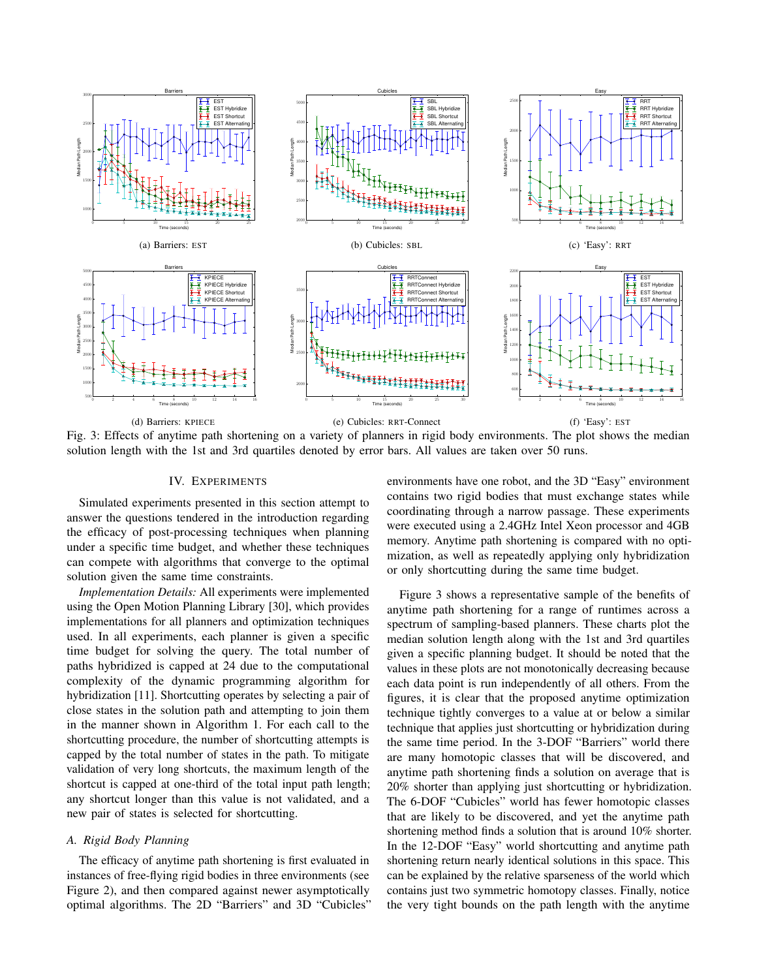

Fig. 3: Effects of anytime path shortening on a variety of planners in rigid body environments. The plot shows the median solution length with the 1st and 3rd quartiles denoted by error bars. All values are taken over 50 runs.

#### IV. EXPERIMENTS

Simulated experiments presented in this section attempt to answer the questions tendered in the introduction regarding the efficacy of post-processing techniques when planning under a specific time budget, and whether these techniques can compete with algorithms that converge to the optimal solution given the same time constraints.

*Implementation Details:* All experiments were implemented using the Open Motion Planning Library [30], which provides implementations for all planners and optimization techniques used. In all experiments, each planner is given a specific time budget for solving the query. The total number of paths hybridized is capped at 24 due to the computational complexity of the dynamic programming algorithm for hybridization [11]. Shortcutting operates by selecting a pair of close states in the solution path and attempting to join them in the manner shown in Algorithm 1. For each call to the shortcutting procedure, the number of shortcutting attempts is capped by the total number of states in the path. To mitigate validation of very long shortcuts, the maximum length of the shortcut is capped at one-third of the total input path length; any shortcut longer than this value is not validated, and a new pair of states is selected for shortcutting.

#### *A. Rigid Body Planning*

The efficacy of anytime path shortening is first evaluated in instances of free-flying rigid bodies in three environments (see Figure 2), and then compared against newer asymptotically optimal algorithms. The 2D "Barriers" and 3D "Cubicles" environments have one robot, and the 3D "Easy" environment contains two rigid bodies that must exchange states while coordinating through a narrow passage. These experiments were executed using a 2.4GHz Intel Xeon processor and 4GB memory. Anytime path shortening is compared with no optimization, as well as repeatedly applying only hybridization or only shortcutting during the same time budget.

Figure 3 shows a representative sample of the benefits of anytime path shortening for a range of runtimes across a spectrum of sampling-based planners. These charts plot the median solution length along with the 1st and 3rd quartiles given a specific planning budget. It should be noted that the values in these plots are not monotonically decreasing because each data point is run independently of all others. From the figures, it is clear that the proposed anytime optimization technique tightly converges to a value at or below a similar technique that applies just shortcutting or hybridization during the same time period. In the 3-DOF "Barriers" world there are many homotopic classes that will be discovered, and anytime path shortening finds a solution on average that is 20% shorter than applying just shortcutting or hybridization. The 6-DOF "Cubicles" world has fewer homotopic classes that are likely to be discovered, and yet the anytime path shortening method finds a solution that is around 10% shorter. In the 12-DOF "Easy" world shortcutting and anytime path shortening return nearly identical solutions in this space. This can be explained by the relative sparseness of the world which contains just two symmetric homotopy classes. Finally, notice the very tight bounds on the path length with the anytime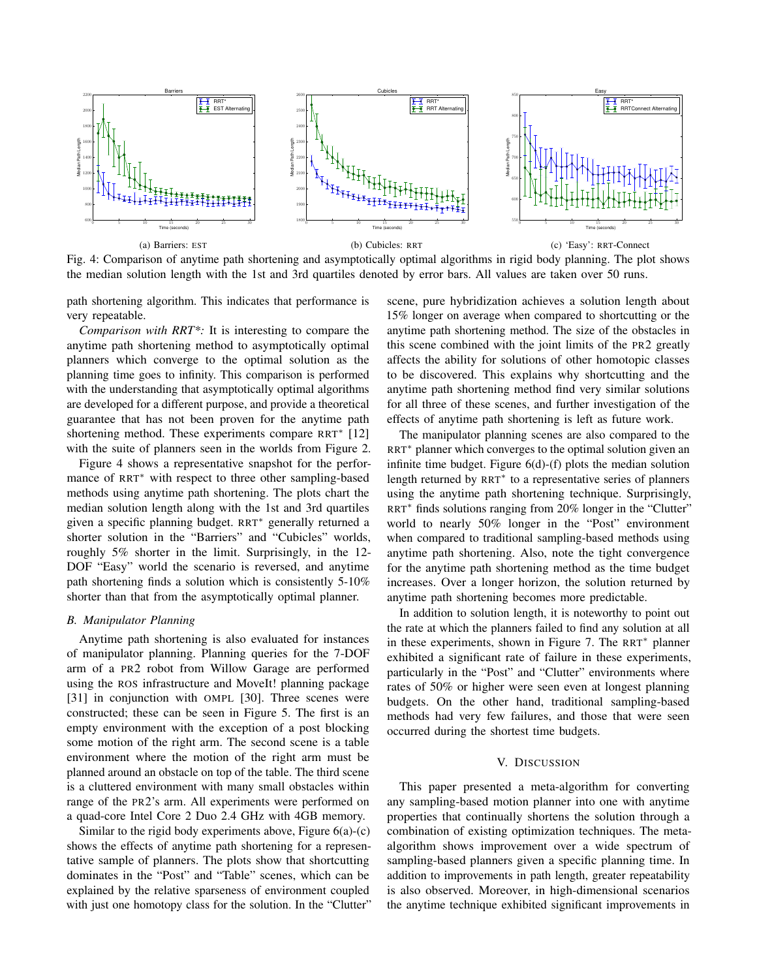

Fig. 4: Comparison of anytime path shortening and asymptotically optimal algorithms in rigid body planning. The plot shows the median solution length with the 1st and 3rd quartiles denoted by error bars. All values are taken over 50 runs.

path shortening algorithm. This indicates that performance is very repeatable.

*Comparison with RRT\*:* It is interesting to compare the anytime path shortening method to asymptotically optimal planners which converge to the optimal solution as the planning time goes to infinity. This comparison is performed with the understanding that asymptotically optimal algorithms are developed for a different purpose, and provide a theoretical guarantee that has not been proven for the anytime path shortening method. These experiments compare RRT<sup>\*</sup> [12] with the suite of planners seen in the worlds from Figure 2.

Figure 4 shows a representative snapshot for the performance of RRT<sup>∗</sup> with respect to three other sampling-based methods using anytime path shortening. The plots chart the median solution length along with the 1st and 3rd quartiles given a specific planning budget. RRT<sup>∗</sup> generally returned a shorter solution in the "Barriers" and "Cubicles" worlds, roughly 5% shorter in the limit. Surprisingly, in the 12- DOF "Easy" world the scenario is reversed, and anytime path shortening finds a solution which is consistently 5-10% shorter than that from the asymptotically optimal planner.

# *B. Manipulator Planning*

Anytime path shortening is also evaluated for instances of manipulator planning. Planning queries for the 7-DOF arm of a PR2 robot from Willow Garage are performed using the ROS infrastructure and MoveIt! planning package [31] in conjunction with OMPL [30]. Three scenes were constructed; these can be seen in Figure 5. The first is an empty environment with the exception of a post blocking some motion of the right arm. The second scene is a table environment where the motion of the right arm must be planned around an obstacle on top of the table. The third scene is a cluttered environment with many small obstacles within range of the PR2's arm. All experiments were performed on a quad-core Intel Core 2 Duo 2.4 GHz with 4GB memory.

Similar to the rigid body experiments above, Figure 6(a)-(c) shows the effects of anytime path shortening for a representative sample of planners. The plots show that shortcutting dominates in the "Post" and "Table" scenes, which can be explained by the relative sparseness of environment coupled with just one homotopy class for the solution. In the "Clutter" scene, pure hybridization achieves a solution length about 15% longer on average when compared to shortcutting or the anytime path shortening method. The size of the obstacles in this scene combined with the joint limits of the PR2 greatly affects the ability for solutions of other homotopic classes to be discovered. This explains why shortcutting and the anytime path shortening method find very similar solutions for all three of these scenes, and further investigation of the effects of anytime path shortening is left as future work.

The manipulator planning scenes are also compared to the RRT<sup>\*</sup> planner which converges to the optimal solution given an infinite time budget. Figure 6(d)-(f) plots the median solution length returned by RRT<sup>∗</sup> to a representative series of planners using the anytime path shortening technique. Surprisingly, RRT<sup>∗</sup> finds solutions ranging from 20% longer in the "Clutter" world to nearly 50% longer in the "Post" environment when compared to traditional sampling-based methods using anytime path shortening. Also, note the tight convergence for the anytime path shortening method as the time budget increases. Over a longer horizon, the solution returned by anytime path shortening becomes more predictable.

In addition to solution length, it is noteworthy to point out the rate at which the planners failed to find any solution at all in these experiments, shown in Figure 7. The RRT<sup>∗</sup> planner exhibited a significant rate of failure in these experiments, particularly in the "Post" and "Clutter" environments where rates of 50% or higher were seen even at longest planning budgets. On the other hand, traditional sampling-based methods had very few failures, and those that were seen occurred during the shortest time budgets.

# V. DISCUSSION

This paper presented a meta-algorithm for converting any sampling-based motion planner into one with anytime properties that continually shortens the solution through a combination of existing optimization techniques. The metaalgorithm shows improvement over a wide spectrum of sampling-based planners given a specific planning time. In addition to improvements in path length, greater repeatability is also observed. Moreover, in high-dimensional scenarios the anytime technique exhibited significant improvements in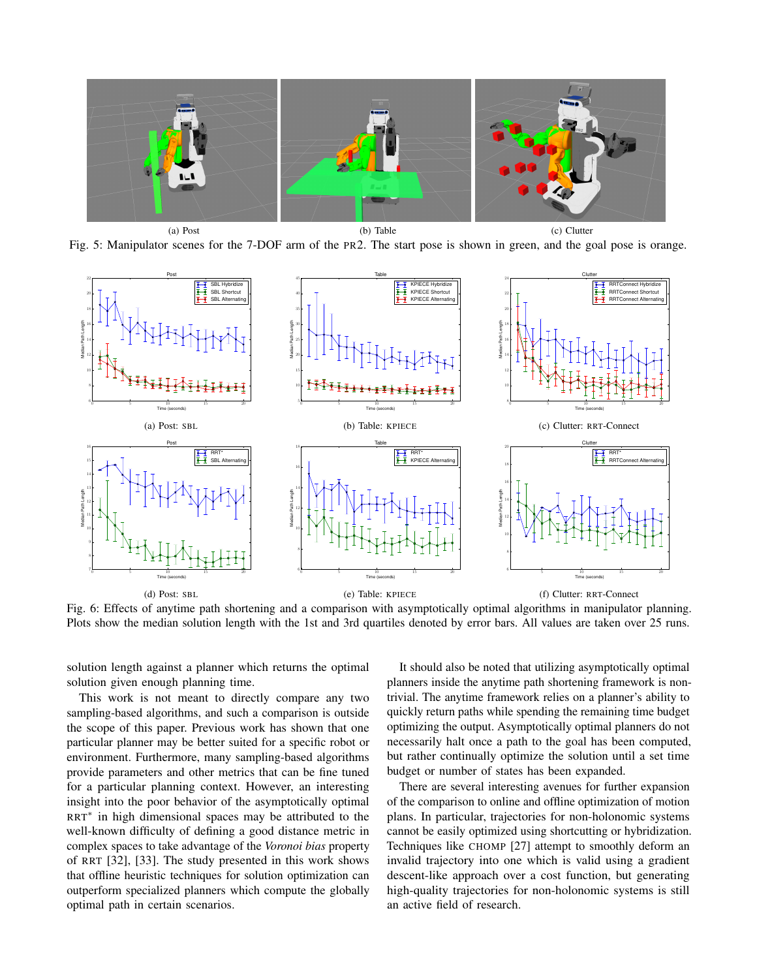

Fig. 5: Manipulator scenes for the 7-DOF arm of the PR2. The start pose is shown in green, and the goal pose is orange.



Fig. 6: Effects of anytime path shortening and a comparison with asymptotically optimal algorithms in manipulator planning. Plots show the median solution length with the 1st and 3rd quartiles denoted by error bars. All values are taken over 25 runs.

solution length against a planner which returns the optimal solution given enough planning time.

This work is not meant to directly compare any two sampling-based algorithms, and such a comparison is outside the scope of this paper. Previous work has shown that one particular planner may be better suited for a specific robot or environment. Furthermore, many sampling-based algorithms provide parameters and other metrics that can be fine tuned for a particular planning context. However, an interesting insight into the poor behavior of the asymptotically optimal RRT<sup>\*</sup> in high dimensional spaces may be attributed to the well-known difficulty of defining a good distance metric in complex spaces to take advantage of the *Voronoi bias* property of RRT [32], [33]. The study presented in this work shows that offline heuristic techniques for solution optimization can outperform specialized planners which compute the globally optimal path in certain scenarios.

It should also be noted that utilizing asymptotically optimal planners inside the anytime path shortening framework is nontrivial. The anytime framework relies on a planner's ability to quickly return paths while spending the remaining time budget optimizing the output. Asymptotically optimal planners do not necessarily halt once a path to the goal has been computed, but rather continually optimize the solution until a set time budget or number of states has been expanded.

There are several interesting avenues for further expansion of the comparison to online and offline optimization of motion plans. In particular, trajectories for non-holonomic systems cannot be easily optimized using shortcutting or hybridization. Techniques like CHOMP [27] attempt to smoothly deform an invalid trajectory into one which is valid using a gradient descent-like approach over a cost function, but generating high-quality trajectories for non-holonomic systems is still an active field of research.